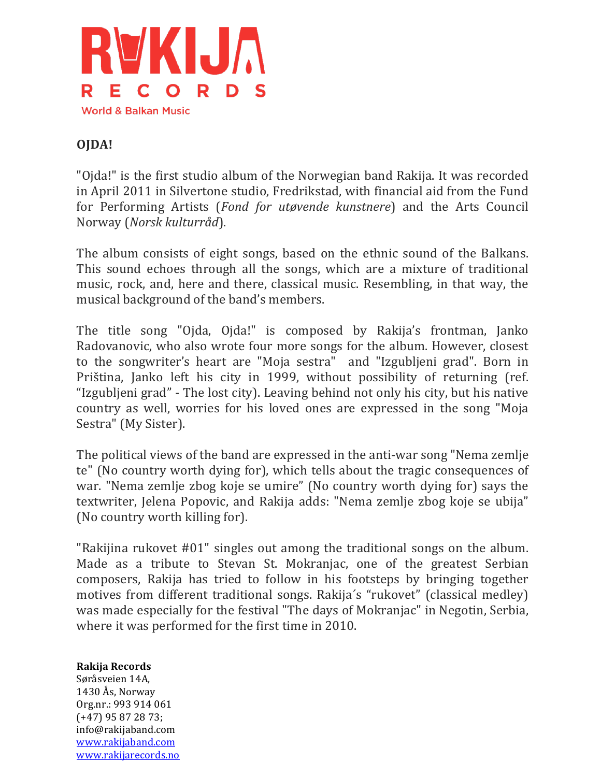

## **OJDA!**

"Ojda!" is the first studio album of the Norwegian band Rakija. It was recorded in April 2011 in Silvertone studio, Fredrikstad, with financial aid from the Fund for Performing Artists (*Fond for utøvende kunstnere*) and the Arts Council Norway!(*Norsk%kulturråd*).

The album consists of eight songs, based on the ethnic sound of the Balkans. This sound echoes through all the songs, which are a mixture of traditional music, rock, and, here and there, classical music. Resembling, in that way, the musical background of the band's members.

The title song "Ojda, Ojda!" is composed by Rakija's frontman, Janko Radovanovic, who also wrote four more songs for the album. However, closest to the songwriter's heart are "Moja sestra" and "Izgubljeni grad". Born in Priština, Janko left his city in 1999, without possibility of returning (ref. "Izgubljeni grad" - The lost city). Leaving behind not only his city, but his native country as well, worries for his loved ones are expressed in the song "Moja" Sestra" (My Sister).

The political views of the band are expressed in the anti-war song "Nema zemlje" te" (No country worth dying for), which tells about the tragic consequences of war. "Nema zemlje zbog koje se umire" (No country worth dying for) says the textwriter, Jelena Popovic, and Rakija adds: "Nema zemlje zbog koje se ubija" (No country worth killing for).

"Rakijina rukovet  $#01$ " singles out among the traditional songs on the album. Made as a tribute to Stevan St. Mokranjac, one of the greatest Serbian composers, Rakija has tried to follow in his footsteps by bringing together motives from different traditional songs. Rakija's "rukovet" (classical medley) was made especially for the festival "The days of Mokranjac" in Negotin, Serbia, where it was performed for the first time in 2010.

## **Rakija&Records&**

Søråsveien 14A,  $1430$  Ås, Norway Org.nr.: 993 914 061 (+47) 95 87 28 73; info@rakijaband.com www.rakijaband.com www.rakijarecords.no